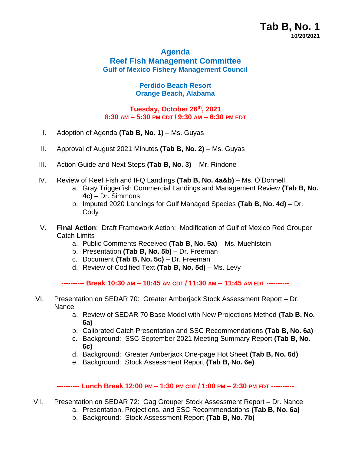# **Agenda Reef Fish Management Committee Gulf of Mexico Fishery Management Council**

# **Perdido Beach Resort Orange Beach, Alabama**

# **Tuesday, October 26 th , 2021 8:30 AM – 5:30 PM CDT / 9:30 AM – 6:30 PM EDT**

- I. Adoption of Agenda **(Tab B, No. 1)** Ms. Guyas
- II. Approval of August 2021 Minutes **(Tab B, No. 2)** Ms. Guyas
- III. Action Guide and Next Steps (Tab B, No. 3) Mr. Rindone
- IV. Review of Reef Fish and IFQ Landings **(Tab B, No. 4a&b)**  Ms. O'Donnell
	- a. Gray Triggerfish Commercial Landings and Management Review **(Tab B, No. 4c)** – Dr. Simmons
	- b. Imputed 2020 Landings for Gulf Managed Species **(Tab B, No. 4d)** Dr. **Codv**
- V. **Final Action**: Draft Framework Action: Modification of Gulf of Mexico Red Grouper Catch Limits
	- a. Public Comments Received **(Tab B, No. 5a)** Ms. Muehlstein
	- b. Presentation **(Tab B, No. 5b)** Dr. Freeman
	- c. Document **(Tab B, No. 5c)** Dr. Freeman
	- d. Review of Codified Text **(Tab B, No. 5d)** Ms. Levy

**---------- Break 10:30 AM – 10:45 AM CDT / 11:30 AM – 11:45 AM EDT ----------**

- VI. Presentation on SEDAR 70: Greater Amberjack Stock Assessment Report Dr. **Nance** 
	- a. Review of SEDAR 70 Base Model with New Projections Method **(Tab B, No. 6a)**
	- b. Calibrated Catch Presentation and SSC Recommendations **(Tab B, No. 6a)**
	- c. Background: SSC September 2021 Meeting Summary Report **(Tab B, No. 6c)**
	- d. Background: Greater Amberjack One-page Hot Sheet **(Tab B, No. 6d)**
	- e. Background: Stock Assessment Report **(Tab B, No. 6e)**

#### **---------- Lunch Break 12:00 PM – 1:30 PM CDT / 1:00 PM – 2:30 PM EDT ----------**

- VII. Presentation on SEDAR 72: Gag Grouper Stock Assessment Report Dr. Nance
	- a. Presentation, Projections, and SSC Recommendations **(Tab B, No. 6a)**
	- b. Background: Stock Assessment Report **(Tab B, No. 7b)**